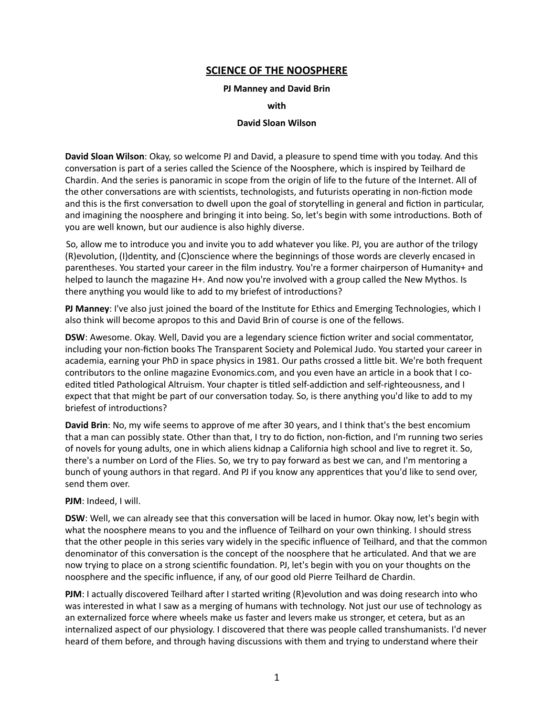## **SCIENCE OF THE NOOSPHERE**

## **PJ Manney and David Brin**

**with** 

## **David Sloan Wilson**

**David Sloan Wilson**: Okay, so welcome PJ and David, a pleasure to spend time with you today. And this conversation is part of a series called the Science of the Noosphere, which is inspired by Teilhard de Chardin. And the series is panoramic in scope from the origin of life to the future of the Internet. All of the other conversations are with scientists, technologists, and futurists operating in non-fiction mode and this is the first conversation to dwell upon the goal of storytelling in general and fiction in particular, and imagining the noosphere and bringing it into being. So, let's begin with some introductions. Both of you are well known, but our audience is also highly diverse.

 So, allow me to introduce you and invite you to add whatever you like. PJ, you are author of the trilogy (R)evolution, (I)dentity, and (C)onscience where the beginnings of those words are cleverly encased in parentheses. You started your career in the film industry. You're a former chairperson of Humanity+ and helped to launch the magazine H+. And now you're involved with a group called the New Mythos. Is there anything you would like to add to my briefest of introductions?

**PJ Manney**: I've also just joined the board of the Institute for Ethics and Emerging Technologies, which I also think will become apropos to this and David Brin of course is one of the fellows.

**DSW**: Awesome. Okay. Well, David you are a legendary science fiction writer and social commentator, including your non-fiction books The Transparent Society and Polemical Judo. You started your career in academia, earning your PhD in space physics in 1981. Our paths crossed a little bit. We're both frequent contributors to the online magazine Evonomics.com, and you even have an article in a book that I coedited titled Pathological Altruism. Your chapter is titled self-addiction and self-righteousness, and I expect that that might be part of our conversation today. So, is there anything you'd like to add to my briefest of introductions?

**David Brin**: No, my wife seems to approve of me after 30 years, and I think that's the best encomium that a man can possibly state. Other than that, I try to do fiction, non-fiction, and I'm running two series of novels for young adults, one in which aliens kidnap a California high school and live to regret it. So, there's a number on Lord of the Flies. So, we try to pay forward as best we can, and I'm mentoring a bunch of young authors in that regard. And PJ if you know any apprentices that you'd like to send over, send them over.

## **PJM**: Indeed, I will.

**DSW**: Well, we can already see that this conversation will be laced in humor. Okay now, let's begin with what the noosphere means to you and the influence of Teilhard on your own thinking. I should stress that the other people in this series vary widely in the specific influence of Teilhard, and that the common denominator of this conversation is the concept of the noosphere that he articulated. And that we are now trying to place on a strong scientific foundation. PJ, let's begin with you on your thoughts on the noosphere and the specific influence, if any, of our good old Pierre Teilhard de Chardin.

**PJM**: I actually discovered Teilhard after I started writing (R)evolution and was doing research into who was interested in what I saw as a merging of humans with technology. Not just our use of technology as an externalized force where wheels make us faster and levers make us stronger, et cetera, but as an internalized aspect of our physiology. I discovered that there was people called transhumanists. I'd never heard of them before, and through having discussions with them and trying to understand where their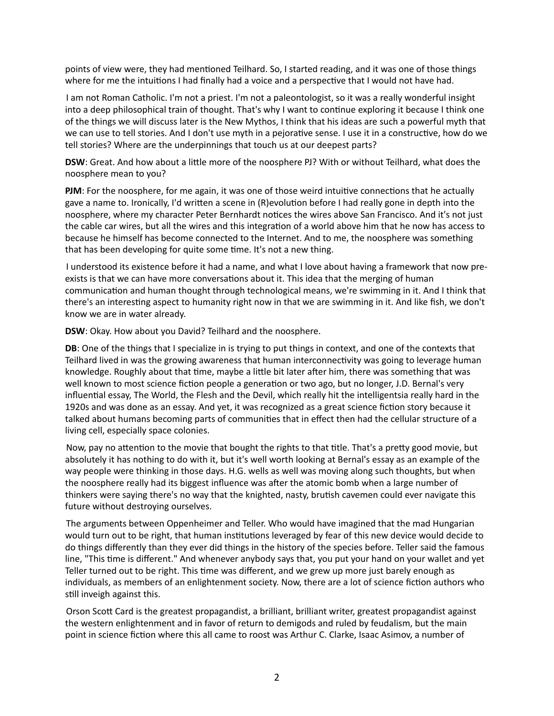points of view were, they had mentioned Teilhard. So, I started reading, and it was one of those things where for me the intuitions I had finally had a voice and a perspective that I would not have had.

 I am not Roman Catholic. I'm not a priest. I'm not a paleontologist, so it was a really wonderful insight into a deep philosophical train of thought. That's why I want to continue exploring it because I think one of the things we will discuss later is the New Mythos, I think that his ideas are such a powerful myth that we can use to tell stories. And I don't use myth in a pejorative sense. I use it in a constructive, how do we tell stories? Where are the underpinnings that touch us at our deepest parts?

**DSW**: Great. And how about a little more of the noosphere PJ? With or without Teilhard, what does the noosphere mean to you?

**PJM**: For the noosphere, for me again, it was one of those weird intuitive connections that he actually gave a name to. Ironically, I'd written a scene in (R)evolution before I had really gone in depth into the noosphere, where my character Peter Bernhardt notices the wires above San Francisco. And it's not just the cable car wires, but all the wires and this integration of a world above him that he now has access to because he himself has become connected to the Internet. And to me, the noosphere was something that has been developing for quite some time. It's not a new thing.

 I understood its existence before it had a name, and what I love about having a framework that now preexists is that we can have more conversations about it. This idea that the merging of human communication and human thought through technological means, we're swimming in it. And I think that there's an interesting aspect to humanity right now in that we are swimming in it. And like fish, we don't know we are in water already.

**DSW**: Okay. How about you David? Teilhard and the noosphere.

**DB**: One of the things that I specialize in is trying to put things in context, and one of the contexts that Teilhard lived in was the growing awareness that human interconnectivity was going to leverage human knowledge. Roughly about that time, maybe a little bit later after him, there was something that was well known to most science fiction people a generation or two ago, but no longer, J.D. Bernal's very influential essay, The World, the Flesh and the Devil, which really hit the intelligentsia really hard in the 1920s and was done as an essay. And yet, it was recognized as a great science fiction story because it talked about humans becoming parts of communities that in effect then had the cellular structure of a living cell, especially space colonies.

Now, pay no attention to the movie that bought the rights to that title. That's a pretty good movie, but absolutely it has nothing to do with it, but it's well worth looking at Bernal's essay as an example of the way people were thinking in those days. H.G. wells as well was moving along such thoughts, but when the noosphere really had its biggest influence was after the atomic bomb when a large number of thinkers were saying there's no way that the knighted, nasty, brutish cavemen could ever navigate this future without destroying ourselves.

 The arguments between Oppenheimer and Teller. Who would have imagined that the mad Hungarian would turn out to be right, that human institutions leveraged by fear of this new device would decide to do things differently than they ever did things in the history of the species before. Teller said the famous line, "This time is different." And whenever anybody says that, you put your hand on your wallet and yet Teller turned out to be right. This time was different, and we grew up more just barely enough as individuals, as members of an enlightenment society. Now, there are a lot of science fiction authors who still inveigh against this.

Orson Scott Card is the greatest propagandist, a brilliant, brilliant writer, greatest propagandist against the western enlightenment and in favor of return to demigods and ruled by feudalism, but the main point in science fiction where this all came to roost was Arthur C. Clarke, Isaac Asimov, a number of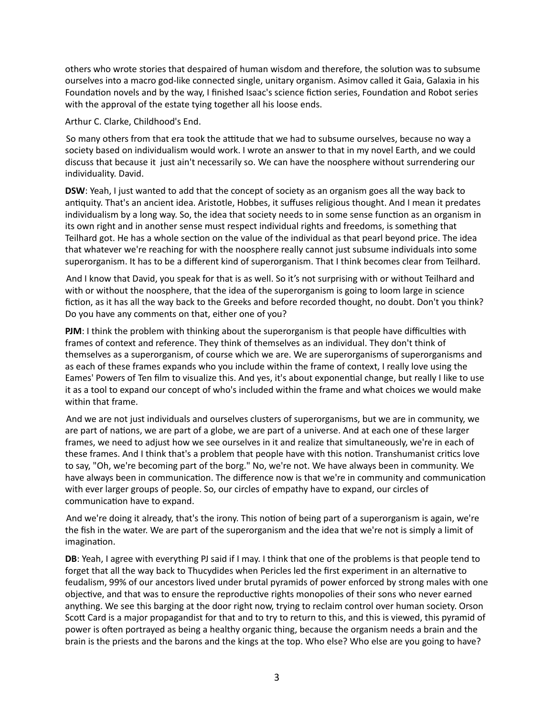others who wrote stories that despaired of human wisdom and therefore, the solution was to subsume ourselves into a macro god-like connected single, unitary organism. Asimov called it Gaia, Galaxia in his Foundation novels and by the way, I finished Isaac's science fiction series, Foundation and Robot series with the approval of the estate tying together all his loose ends.

Arthur C. Clarke, Childhood's End.

So many others from that era took the attitude that we had to subsume ourselves, because no way a society based on individualism would work. I wrote an answer to that in my novel Earth, and we could discuss that because it just ain't necessarily so. We can have the noosphere without surrendering our individuality. David.

**DSW**: Yeah, I just wanted to add that the concept of society as an organism goes all the way back to antiquity. That's an ancient idea. Aristotle, Hobbes, it suffuses religious thought. And I mean it predates individualism by a long way. So, the idea that society needs to in some sense function as an organism in its own right and in another sense must respect individual rights and freedoms, is something that Teilhard got. He has a whole section on the value of the individual as that pearl beyond price. The idea that whatever we're reaching for with the noosphere really cannot just subsume individuals into some superorganism. It has to be a different kind of superorganism. That I think becomes clear from Teilhard.

 And I know that David, you speak for that is as well. So it's not surprising with or without Teilhard and with or without the noosphere, that the idea of the superorganism is going to loom large in science fiction, as it has all the way back to the Greeks and before recorded thought, no doubt. Don't you think? Do you have any comments on that, either one of you?

**PJM**: I think the problem with thinking about the superorganism is that people have difficulties with frames of context and reference. They think of themselves as an individual. They don't think of themselves as a superorganism, of course which we are. We are superorganisms of superorganisms and as each of these frames expands who you include within the frame of context, I really love using the Eames' Powers of Ten film to visualize this. And yes, it's about exponential change, but really I like to use it as a tool to expand our concept of who's included within the frame and what choices we would make within that frame.

 And we are not just individuals and ourselves clusters of superorganisms, but we are in community, we are part of nations, we are part of a globe, we are part of a universe. And at each one of these larger frames, we need to adjust how we see ourselves in it and realize that simultaneously, we're in each of these frames. And I think that's a problem that people have with this notion. Transhumanist critics love to say, "Oh, we're becoming part of the borg." No, we're not. We have always been in community. We have always been in communication. The difference now is that we're in community and communication with ever larger groups of people. So, our circles of empathy have to expand, our circles of communication have to expand.

And we're doing it already, that's the irony. This notion of being part of a superorganism is again, we're the fish in the water. We are part of the superorganism and the idea that we're not is simply a limit of imagination.

**DB**: Yeah, I agree with everything PJ said if I may. I think that one of the problems is that people tend to forget that all the way back to Thucydides when Pericles led the first experiment in an alternative to feudalism, 99% of our ancestors lived under brutal pyramids of power enforced by strong males with one objective, and that was to ensure the reproductive rights monopolies of their sons who never earned anything. We see this barging at the door right now, trying to reclaim control over human society. Orson Scott Card is a major propagandist for that and to try to return to this, and this is viewed, this pyramid of power is often portrayed as being a healthy organic thing, because the organism needs a brain and the brain is the priests and the barons and the kings at the top. Who else? Who else are you going to have?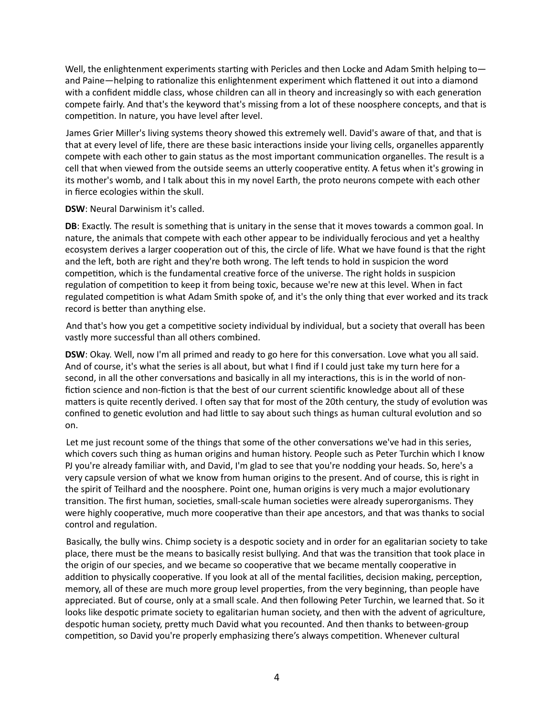Well, the enlightenment experiments starting with Pericles and then Locke and Adam Smith helping toand Paine—helping to rationalize this enlightenment experiment which flattened it out into a diamond with a confident middle class, whose children can all in theory and increasingly so with each generation compete fairly. And that's the keyword that's missing from a lot of these noosphere concepts, and that is competition. In nature, you have level after level.

 James Grier Miller's living systems theory showed this extremely well. David's aware of that, and that is that at every level of life, there are these basic interactions inside your living cells, organelles apparently compete with each other to gain status as the most important communication organelles. The result is a cell that when viewed from the outside seems an utterly cooperative entity. A fetus when it's growing in its mother's womb, and I talk about this in my novel Earth, the proto neurons compete with each other in fierce ecologies within the skull.

**DSW**: Neural Darwinism it's called.

**DB**: Exactly. The result is something that is unitary in the sense that it moves towards a common goal. In nature, the animals that compete with each other appear to be individually ferocious and yet a healthy ecosystem derives a larger cooperation out of this, the circle of life. What we have found is that the right and the left, both are right and they're both wrong. The left tends to hold in suspicion the word competition, which is the fundamental creative force of the universe. The right holds in suspicion regulation of competition to keep it from being toxic, because we're new at this level. When in fact regulated competition is what Adam Smith spoke of, and it's the only thing that ever worked and its track record is better than anything else.

And that's how you get a competitive society individual by individual, but a society that overall has been vastly more successful than all others combined.

**DSW**: Okay. Well, now I'm all primed and ready to go here for this conversation. Love what you all said. And of course, it's what the series is all about, but what I find if I could just take my turn here for a second, in all the other conversations and basically in all my interactions, this is in the world of nonfiction science and non-fiction is that the best of our current scientific knowledge about all of these matters is quite recently derived. I often say that for most of the 20th century, the study of evolution was confined to genetic evolution and had little to say about such things as human cultural evolution and so on.

Let me just recount some of the things that some of the other conversations we've had in this series, which covers such thing as human origins and human history. People such as Peter Turchin which I know PJ you're already familiar with, and David, I'm glad to see that you're nodding your heads. So, here's a very capsule version of what we know from human origins to the present. And of course, this is right in the spirit of Teilhard and the noosphere. Point one, human origins is very much a major evolutionary transition. The first human, societies, small-scale human societies were already superorganisms. They were highly cooperative, much more cooperative than their ape ancestors, and that was thanks to social control and regulation.

Basically, the bully wins. Chimp society is a despotic society and in order for an egalitarian society to take place, there must be the means to basically resist bullying. And that was the transition that took place in the origin of our species, and we became so cooperative that we became mentally cooperative in addition to physically cooperative. If you look at all of the mental facilities, decision making, perception, memory, all of these are much more group level properties, from the very beginning, than people have appreciated. But of course, only at a small scale. And then following Peter Turchin, we learned that. So it looks like despotic primate society to egalitarian human society, and then with the advent of agriculture, despotic human society, pretty much David what you recounted. And then thanks to between-group competition, so David you're properly emphasizing there's always competition. Whenever cultural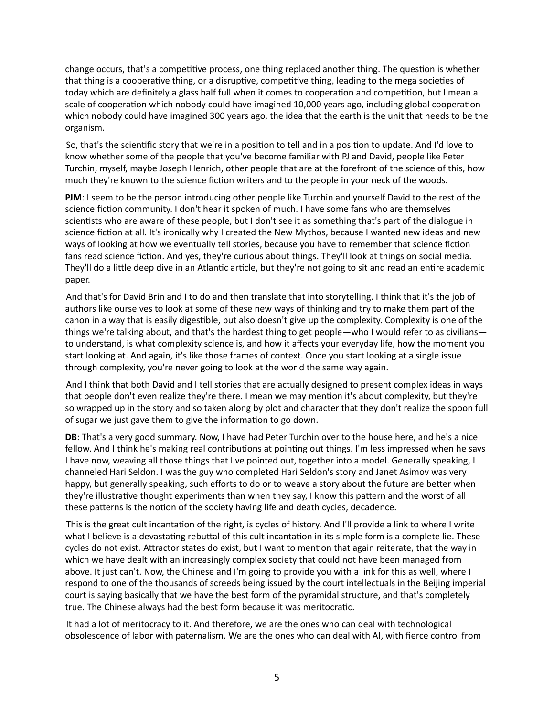change occurs, that's a competitive process, one thing replaced another thing. The question is whether that thing is a cooperative thing, or a disruptive, competitive thing, leading to the mega societies of today which are definitely a glass half full when it comes to cooperation and competition, but I mean a scale of cooperation which nobody could have imagined 10,000 years ago, including global cooperation which nobody could have imagined 300 years ago, the idea that the earth is the unit that needs to be the organism.

So, that's the scientific story that we're in a position to tell and in a position to update. And I'd love to know whether some of the people that you've become familiar with PJ and David, people like Peter Turchin, myself, maybe Joseph Henrich, other people that are at the forefront of the science of this, how much they're known to the science fiction writers and to the people in your neck of the woods.

**PJM**: I seem to be the person introducing other people like Turchin and yourself David to the rest of the science fiction community. I don't hear it spoken of much. I have some fans who are themselves scientists who are aware of these people, but I don't see it as something that's part of the dialogue in science fiction at all. It's ironically why I created the New Mythos, because I wanted new ideas and new ways of looking at how we eventually tell stories, because you have to remember that science fiction fans read science fiction. And yes, they're curious about things. They'll look at things on social media. They'll do a little deep dive in an Atlantic article, but they're not going to sit and read an entire academic paper.

 And that's for David Brin and I to do and then translate that into storytelling. I think that it's the job of authors like ourselves to look at some of these new ways of thinking and try to make them part of the canon in a way that is easily digestible, but also doesn't give up the complexity. Complexity is one of the things we're talking about, and that's the hardest thing to get people—who I would refer to as civilians to understand, is what complexity science is, and how it affects your everyday life, how the moment you start looking at. And again, it's like those frames of context. Once you start looking at a single issue through complexity, you're never going to look at the world the same way again.

 And I think that both David and I tell stories that are actually designed to present complex ideas in ways that people don't even realize they're there. I mean we may mention it's about complexity, but they're so wrapped up in the story and so taken along by plot and character that they don't realize the spoon full of sugar we just gave them to give the information to go down.

**DB**: That's a very good summary. Now, I have had Peter Turchin over to the house here, and he's a nice fellow. And I think he's making real contributions at pointing out things. I'm less impressed when he says I have now, weaving all those things that I've pointed out, together into a model. Generally speaking, I channeled Hari Seldon. I was the guy who completed Hari Seldon's story and Janet Asimov was very happy, but generally speaking, such efforts to do or to weave a story about the future are better when they're illustrative thought experiments than when they say, I know this pattern and the worst of all these patterns is the notion of the society having life and death cycles, decadence.

This is the great cult incantation of the right, is cycles of history. And I'll provide a link to where I write what I believe is a devastating rebuttal of this cult incantation in its simple form is a complete lie. These cycles do not exist. Attractor states do exist, but I want to mention that again reiterate, that the way in which we have dealt with an increasingly complex society that could not have been managed from above. It just can't. Now, the Chinese and I'm going to provide you with a link for this as well, where I respond to one of the thousands of screeds being issued by the court intellectuals in the Beijing imperial court is saying basically that we have the best form of the pyramidal structure, and that's completely true. The Chinese always had the best form because it was meritocratic.

 It had a lot of meritocracy to it. And therefore, we are the ones who can deal with technological obsolescence of labor with paternalism. We are the ones who can deal with AI, with fierce control from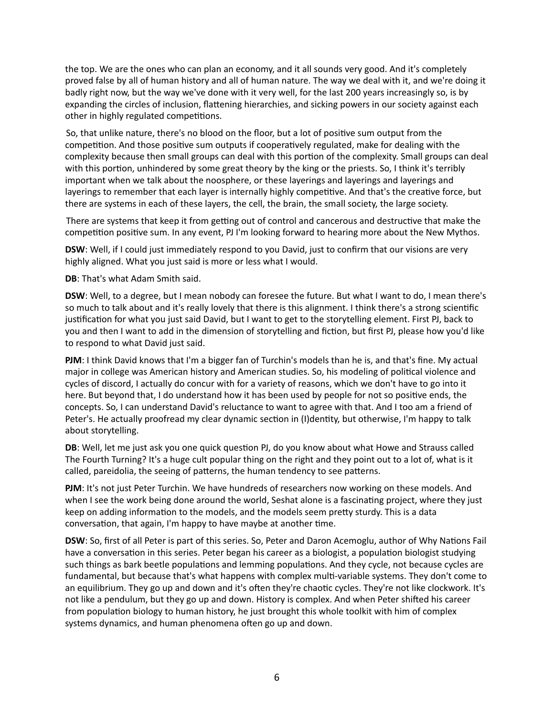the top. We are the ones who can plan an economy, and it all sounds very good. And it's completely proved false by all of human history and all of human nature. The way we deal with it, and we're doing it badly right now, but the way we've done with it very well, for the last 200 years increasingly so, is by expanding the circles of inclusion, flattening hierarchies, and sicking powers in our society against each other in highly regulated competitions.

So, that unlike nature, there's no blood on the floor, but a lot of positive sum output from the competition. And those positive sum outputs if cooperatively regulated, make for dealing with the complexity because then small groups can deal with this portion of the complexity. Small groups can deal with this portion, unhindered by some great theory by the king or the priests. So, I think it's terribly important when we talk about the noosphere, or these layerings and layerings and layerings and layerings to remember that each layer is internally highly competitive. And that's the creative force, but there are systems in each of these layers, the cell, the brain, the small society, the large society.

There are systems that keep it from getting out of control and cancerous and destructive that make the competition positive sum. In any event, PJ I'm looking forward to hearing more about the New Mythos.

**DSW**: Well, if I could just immediately respond to you David, just to confirm that our visions are very highly aligned. What you just said is more or less what I would.

**DB**: That's what Adam Smith said.

**DSW**: Well, to a degree, but I mean nobody can foresee the future. But what I want to do, I mean there's so much to talk about and it's really lovely that there is this alignment. I think there's a strong scientific justification for what you just said David, but I want to get to the storytelling element. First PJ, back to you and then I want to add in the dimension of storytelling and fiction, but first PJ, please how you'd like to respond to what David just said.

**PJM**: I think David knows that I'm a bigger fan of Turchin's models than he is, and that's fine. My actual major in college was American history and American studies. So, his modeling of political violence and cycles of discord, I actually do concur with for a variety of reasons, which we don't have to go into it here. But beyond that, I do understand how it has been used by people for not so positive ends, the concepts. So, I can understand David's reluctance to want to agree with that. And I too am a friend of Peter's. He actually proofread my clear dynamic section in (I)dentity, but otherwise, I'm happy to talk about storytelling.

DB: Well, let me just ask you one quick question PJ, do you know about what Howe and Strauss called The Fourth Turning? It's a huge cult popular thing on the right and they point out to a lot of, what is it called, pareidolia, the seeing of patterns, the human tendency to see patterns.

**PJM**: It's not just Peter Turchin. We have hundreds of researchers now working on these models. And when I see the work being done around the world, Seshat alone is a fascinating project, where they just keep on adding information to the models, and the models seem pretty sturdy. This is a data conversation, that again, I'm happy to have maybe at another time.

**DSW**: So, first of all Peter is part of this series. So, Peter and Daron Acemoglu, author of Why Nations Fail have a conversation in this series. Peter began his career as a biologist, a population biologist studying such things as bark beetle populations and lemming populations. And they cycle, not because cycles are fundamental, but because that's what happens with complex multi-variable systems. They don't come to an equilibrium. They go up and down and it's often they're chaotic cycles. They're not like clockwork. It's not like a pendulum, but they go up and down. History is complex. And when Peter shifted his career from population biology to human history, he just brought this whole toolkit with him of complex systems dynamics, and human phenomena often go up and down.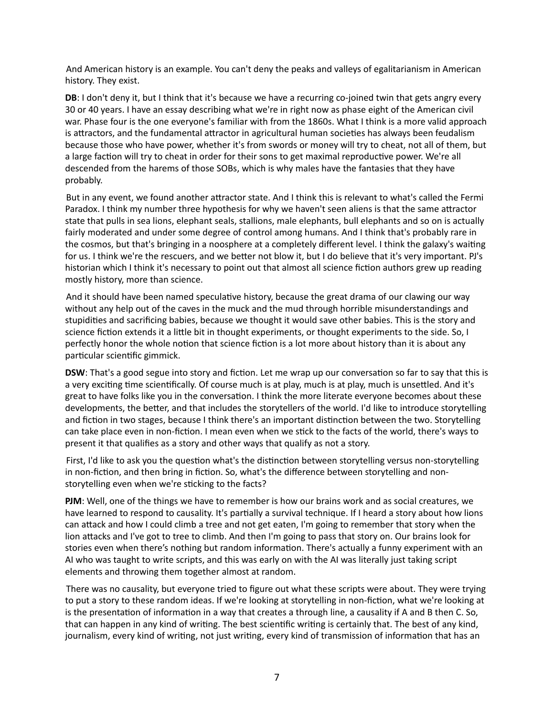And American history is an example. You can't deny the peaks and valleys of egalitarianism in American history. They exist.

**DB**: I don't deny it, but I think that it's because we have a recurring co-joined twin that gets angry every 30 or 40 years. I have an essay describing what we're in right now as phase eight of the American civil war. Phase four is the one everyone's familiar with from the 1860s. What I think is a more valid approach is attractors, and the fundamental attractor in agricultural human societies has always been feudalism because those who have power, whether it's from swords or money will try to cheat, not all of them, but a large faction will try to cheat in order for their sons to get maximal reproductive power. We're all descended from the harems of those SOBs, which is why males have the fantasies that they have probably.

But in any event, we found another attractor state. And I think this is relevant to what's called the Fermi Paradox. I think my number three hypothesis for why we haven't seen aliens is that the same attractor state that pulls in sea lions, elephant seals, stallions, male elephants, bull elephants and so on is actually fairly moderated and under some degree of control among humans. And I think that's probably rare in the cosmos, but that's bringing in a noosphere at a completely different level. I think the galaxy's waiting for us. I think we're the rescuers, and we better not blow it, but I do believe that it's very important. PJ's historian which I think it's necessary to point out that almost all science fiction authors grew up reading mostly history, more than science.

And it should have been named speculative history, because the great drama of our clawing our way without any help out of the caves in the muck and the mud through horrible misunderstandings and stupidities and sacrificing babies, because we thought it would save other babies. This is the story and science fiction extends it a little bit in thought experiments, or thought experiments to the side. So, I perfectly honor the whole notion that science fiction is a lot more about history than it is about any particular scientific gimmick.

**DSW**: That's a good segue into story and fiction. Let me wrap up our conversation so far to say that this is a very exciting time scientifically. Of course much is at play, much is at play, much is unsettled. And it's great to have folks like you in the conversation. I think the more literate everyone becomes about these developments, the better, and that includes the storytellers of the world. I'd like to introduce storytelling and fiction in two stages, because I think there's an important distinction between the two. Storytelling can take place even in non-fiction. I mean even when we stick to the facts of the world, there's ways to present it that qualifies as a story and other ways that qualify as not a story.

First, I'd like to ask you the question what's the distinction between storytelling versus non-storytelling in non-fiction, and then bring in fiction. So, what's the difference between storytelling and nonstorytelling even when we're sticking to the facts?

**PJM**: Well, one of the things we have to remember is how our brains work and as social creatures, we have learned to respond to causality. It's partially a survival technique. If I heard a story about how lions can attack and how I could climb a tree and not get eaten, I'm going to remember that story when the lion attacks and I've got to tree to climb. And then I'm going to pass that story on. Our brains look for stories even when there's nothing but random information. There's actually a funny experiment with an AI who was taught to write scripts, and this was early on with the AI was literally just taking script elements and throwing them together almost at random.

 There was no causality, but everyone tried to figure out what these scripts were about. They were trying to put a story to these random ideas. If we're looking at storytelling in non-fiction, what we're looking at is the presentation of information in a way that creates a through line, a causality if A and B then C. So, that can happen in any kind of writing. The best scientific writing is certainly that. The best of any kind, journalism, every kind of writing, not just writing, every kind of transmission of information that has an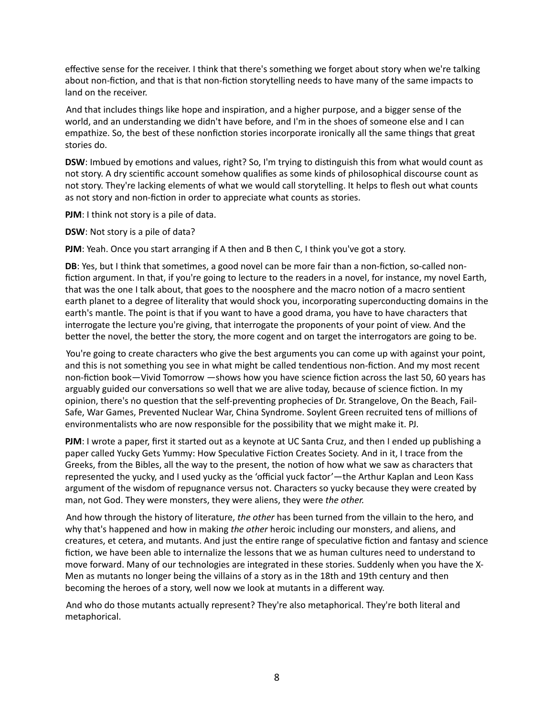effective sense for the receiver. I think that there's something we forget about story when we're talking about non-fiction, and that is that non-fiction storytelling needs to have many of the same impacts to land on the receiver.

And that includes things like hope and inspiration, and a higher purpose, and a bigger sense of the world, and an understanding we didn't have before, and I'm in the shoes of someone else and I can empathize. So, the best of these nonfiction stories incorporate ironically all the same things that great stories do.

**DSW**: Imbued by emotions and values, right? So, I'm trying to distinguish this from what would count as not story. A dry scientific account somehow qualifies as some kinds of philosophical discourse count as not story. They're lacking elements of what we would call storytelling. It helps to flesh out what counts as not story and non-fiction in order to appreciate what counts as stories.

**PJM**: I think not story is a pile of data.

**DSW**: Not story is a pile of data?

**PJM**: Yeah. Once you start arranging if A then and B then C, I think you've got a story.

**DB**: Yes, but I think that sometimes, a good novel can be more fair than a non-fiction, so-called nonfiction argument. In that, if you're going to lecture to the readers in a novel, for instance, my novel Earth, that was the one I talk about, that goes to the noosphere and the macro notion of a macro sentient earth planet to a degree of literality that would shock you, incorporating superconducting domains in the earth's mantle. The point is that if you want to have a good drama, you have to have characters that interrogate the lecture you're giving, that interrogate the proponents of your point of view. And the better the novel, the better the story, the more cogent and on target the interrogators are going to be.

 You're going to create characters who give the best arguments you can come up with against your point, and this is not something you see in what might be called tendentious non-fiction. And my most recent non-fiction book—Vivid Tomorrow —shows how you have science fiction across the last 50, 60 years has arguably guided our conversations so well that we are alive today, because of science fiction. In my opinion, there's no question that the self-preventing prophecies of Dr. Strangelove, On the Beach, Fail-Safe, War Games, Prevented Nuclear War, China Syndrome. Soylent Green recruited tens of millions of environmentalists who are now responsible for the possibility that we might make it. PJ.

**PJM**: I wrote a paper, first it started out as a keynote at UC Santa Cruz, and then I ended up publishing a paper called Yucky Gets Yummy: How Speculative Fiction Creates Society. And in it, I trace from the Greeks, from the Bibles, all the way to the present, the notion of how what we saw as characters that represented the yucky, and I used yucky as the 'official yuck factor'—the Arthur Kaplan and Leon Kass argument of the wisdom of repugnance versus not. Characters so yucky because they were created by man, not God. They were monsters, they were aliens, they were *the other.*

 And how through the history of literature, *the other* has been turned from the villain to the hero, and why that's happened and how in making *the other* heroic including our monsters, and aliens, and creatures, et cetera, and mutants. And just the entire range of speculative fiction and fantasy and science fiction, we have been able to internalize the lessons that we as human cultures need to understand to move forward. Many of our technologies are integrated in these stories. Suddenly when you have the X-Men as mutants no longer being the villains of a story as in the 18th and 19th century and then becoming the heroes of a story, well now we look at mutants in a different way.

 And who do those mutants actually represent? They're also metaphorical. They're both literal and metaphorical.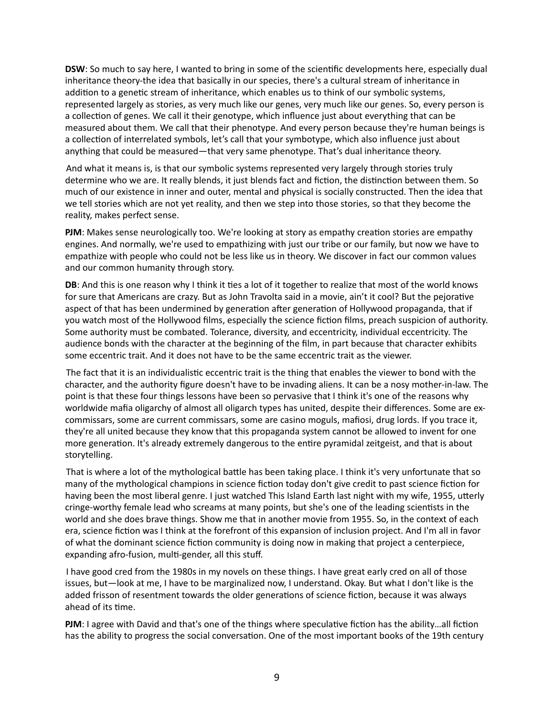**DSW**: So much to say here, I wanted to bring in some of the scientific developments here, especially dual inheritance theory-the idea that basically in our species, there's a cultural stream of inheritance in addition to a genetic stream of inheritance, which enables us to think of our symbolic systems, represented largely as stories, as very much like our genes, very much like our genes. So, every person is a collection of genes. We call it their genotype, which influence just about everything that can be measured about them. We call that their phenotype. And every person because they're human beings is a collection of interrelated symbols, let's call that your symbotype, which also influence just about anything that could be measured—that very same phenotype. That's dual inheritance theory.

 And what it means is, is that our symbolic systems represented very largely through stories truly determine who we are. It really blends, it just blends fact and fiction, the distinction between them. So much of our existence in inner and outer, mental and physical is socially constructed. Then the idea that we tell stories which are not yet reality, and then we step into those stories, so that they become the reality, makes perfect sense.

**PJM**: Makes sense neurologically too. We're looking at story as empathy creation stories are empathy engines. And normally, we're used to empathizing with just our tribe or our family, but now we have to empathize with people who could not be less like us in theory. We discover in fact our common values and our common humanity through story.

**DB**: And this is one reason why I think it ties a lot of it together to realize that most of the world knows for sure that Americans are crazy. But as John Travolta said in a movie, ain't it cool? But the pejorative aspect of that has been undermined by generation after generation of Hollywood propaganda, that if you watch most of the Hollywood films, especially the science fiction films, preach suspicion of authority. Some authority must be combated. Tolerance, diversity, and eccentricity, individual eccentricity. The audience bonds with the character at the beginning of the film, in part because that character exhibits some eccentric trait. And it does not have to be the same eccentric trait as the viewer.

The fact that it is an individualistic eccentric trait is the thing that enables the viewer to bond with the character, and the authority figure doesn't have to be invading aliens. It can be a nosy mother-in-law. The point is that these four things lessons have been so pervasive that I think it's one of the reasons why worldwide mafia oligarchy of almost all oligarch types has united, despite their differences. Some are excommissars, some are current commissars, some are casino moguls, mafiosi, drug lords. If you trace it, they're all united because they know that this propaganda system cannot be allowed to invent for one more generation. It's already extremely dangerous to the entire pyramidal zeitgeist, and that is about storytelling.

That is where a lot of the mythological battle has been taking place. I think it's very unfortunate that so many of the mythological champions in science fiction today don't give credit to past science fiction for having been the most liberal genre. I just watched This Island Earth last night with my wife, 1955, utterly cringe-worthy female lead who screams at many points, but she's one of the leading scientists in the world and she does brave things. Show me that in another movie from 1955. So, in the context of each era, science fiction was I think at the forefront of this expansion of inclusion project. And I'm all in favor of what the dominant science fiction community is doing now in making that project a centerpiece, expanding afro-fusion, multi-gender, all this stuff.

 I have good cred from the 1980s in my novels on these things. I have great early cred on all of those issues, but—look at me, I have to be marginalized now, I understand. Okay. But what I don't like is the added frisson of resentment towards the older generations of science fiction, because it was always ahead of its time.

**PJM**: I agree with David and that's one of the things where speculative fiction has the ability...all fiction has the ability to progress the social conversation. One of the most important books of the 19th century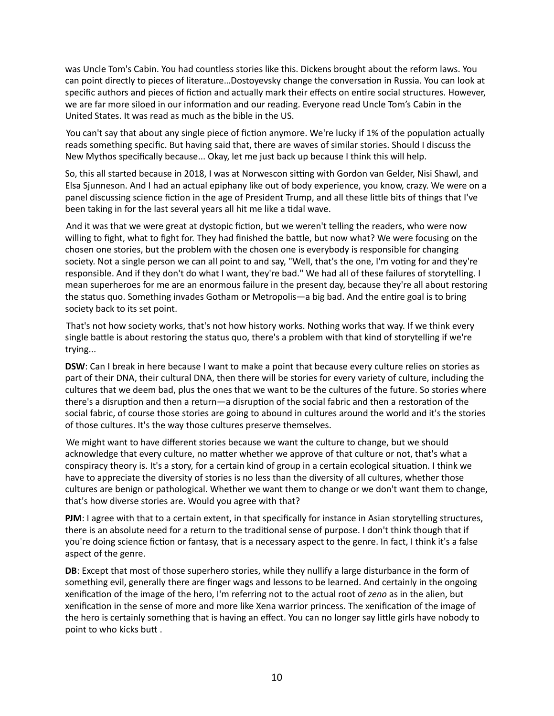was Uncle Tom's Cabin. You had countless stories like this. Dickens brought about the reform laws. You can point directly to pieces of literature...Dostoveysky change the conversation in Russia. You can look at specific authors and pieces of fiction and actually mark their effects on entire social structures. However, we are far more siloed in our information and our reading. Everyone read Uncle Tom's Cabin in the United States. It was read as much as the bible in the US.

You can't say that about any single piece of fiction anymore. We're lucky if 1% of the population actually reads something specific. But having said that, there are waves of similar stories. Should I discuss the New Mythos specifically because... Okay, let me just back up because I think this will help.

So, this all started because in 2018, I was at Norwescon sitting with Gordon van Gelder, Nisi Shawl, and Elsa Sjunneson. And I had an actual epiphany like out of body experience, you know, crazy. We were on a panel discussing science fiction in the age of President Trump, and all these little bits of things that I've been taking in for the last several years all hit me like a tidal wave.

And it was that we were great at dystopic fiction, but we weren't telling the readers, who were now willing to fight, what to fight for. They had finished the battle, but now what? We were focusing on the chosen one stories, but the problem with the chosen one is everybody is responsible for changing society. Not a single person we can all point to and say, "Well, that's the one, I'm voting for and they're responsible. And if they don't do what I want, they're bad." We had all of these failures of storytelling. I mean superheroes for me are an enormous failure in the present day, because they're all about restoring the status quo. Something invades Gotham or Metropolis—a big bad. And the entire goal is to bring society back to its set point.

 That's not how society works, that's not how history works. Nothing works that way. If we think every single battle is about restoring the status quo, there's a problem with that kind of storytelling if we're trying...

**DSW**: Can I break in here because I want to make a point that because every culture relies on stories as part of their DNA, their cultural DNA, then there will be stories for every variety of culture, including the cultures that we deem bad, plus the ones that we want to be the cultures of the future. So stories where there's a disruption and then a return—a disruption of the social fabric and then a restoration of the social fabric, of course those stories are going to abound in cultures around the world and it's the stories of those cultures. It's the way those cultures preserve themselves.

 We might want to have different stories because we want the culture to change, but we should acknowledge that every culture, no matter whether we approve of that culture or not, that's what a conspiracy theory is. It's a story, for a certain kind of group in a certain ecological situation. I think we have to appreciate the diversity of stories is no less than the diversity of all cultures, whether those cultures are benign or pathological. Whether we want them to change or we don't want them to change, that's how diverse stories are. Would you agree with that?

**PJM**: I agree with that to a certain extent, in that specifically for instance in Asian storytelling structures, there is an absolute need for a return to the traditional sense of purpose. I don't think though that if you're doing science fiction or fantasy, that is a necessary aspect to the genre. In fact, I think it's a false aspect of the genre.

**DB**: Except that most of those superhero stories, while they nullify a large disturbance in the form of something evil, generally there are finger wags and lessons to be learned. And certainly in the ongoing xenification of the image of the hero, I'm referring not to the actual root of *zeno* as in the alien, but xenification in the sense of more and more like Xena warrior princess. The xenification of the image of the hero is certainly something that is having an effect. You can no longer say little girls have nobody to point to who kicks butt.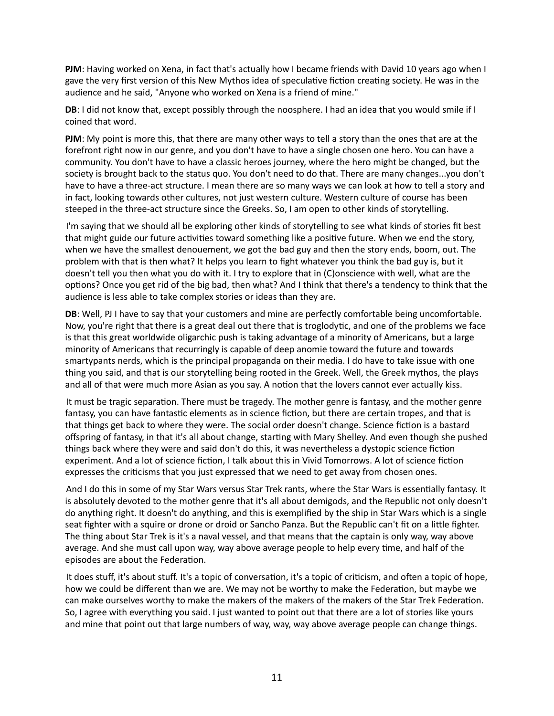**PJM**: Having worked on Xena, in fact that's actually how I became friends with David 10 years ago when I gave the very first version of this New Mythos idea of speculative fiction creating society. He was in the audience and he said, "Anyone who worked on Xena is a friend of mine."

**DB**: I did not know that, except possibly through the noosphere. I had an idea that you would smile if I coined that word.

**PJM**: My point is more this, that there are many other ways to tell a story than the ones that are at the forefront right now in our genre, and you don't have to have a single chosen one hero. You can have a community. You don't have to have a classic heroes journey, where the hero might be changed, but the society is brought back to the status quo. You don't need to do that. There are many changes...you don't have to have a three-act structure. I mean there are so many ways we can look at how to tell a story and in fact, looking towards other cultures, not just western culture. Western culture of course has been steeped in the three-act structure since the Greeks. So, I am open to other kinds of storytelling.

 I'm saying that we should all be exploring other kinds of storytelling to see what kinds of stories fit best that might guide our future activities toward something like a positive future. When we end the story, when we have the smallest denouement, we got the bad guy and then the story ends, boom, out. The problem with that is then what? It helps you learn to fight whatever you think the bad guy is, but it doesn't tell you then what you do with it. I try to explore that in (C)onscience with well, what are the options? Once you get rid of the big bad, then what? And I think that there's a tendency to think that the audience is less able to take complex stories or ideas than they are.

**DB**: Well, PJ I have to say that your customers and mine are perfectly comfortable being uncomfortable. Now, you're right that there is a great deal out there that is troglodytic, and one of the problems we face is that this great worldwide oligarchic push is taking advantage of a minority of Americans, but a large minority of Americans that recurringly is capable of deep anomie toward the future and towards smartypants nerds, which is the principal propaganda on their media. I do have to take issue with one thing you said, and that is our storytelling being rooted in the Greek. Well, the Greek mythos, the plays and all of that were much more Asian as you say. A notion that the lovers cannot ever actually kiss.

It must be tragic separation. There must be tragedy. The mother genre is fantasy, and the mother genre fantasy, you can have fantastic elements as in science fiction, but there are certain tropes, and that is that things get back to where they were. The social order doesn't change. Science fiction is a bastard offspring of fantasy, in that it's all about change, starting with Mary Shelley. And even though she pushed things back where they were and said don't do this, it was nevertheless a dystopic science fiction experiment. And a lot of science fiction, I talk about this in Vivid Tomorrows. A lot of science fiction expresses the criticisms that you just expressed that we need to get away from chosen ones.

And I do this in some of my Star Wars versus Star Trek rants, where the Star Wars is essentially fantasy. It is absolutely devoted to the mother genre that it's all about demigods, and the Republic not only doesn't do anything right. It doesn't do anything, and this is exemplified by the ship in Star Wars which is a single seat fighter with a squire or drone or droid or Sancho Panza. But the Republic can't fit on a little fighter. The thing about Star Trek is it's a naval vessel, and that means that the captain is only way, way above average. And she must call upon way, way above average people to help every time, and half of the episodes are about the Federation.

It does stuff, it's about stuff. It's a topic of conversation, it's a topic of criticism, and often a topic of hope, how we could be different than we are. We may not be worthy to make the Federation, but maybe we can make ourselves worthy to make the makers of the makers of the makers of the Star Trek Federation. So, I agree with everything you said. I just wanted to point out that there are a lot of stories like yours and mine that point out that large numbers of way, way, way above average people can change things.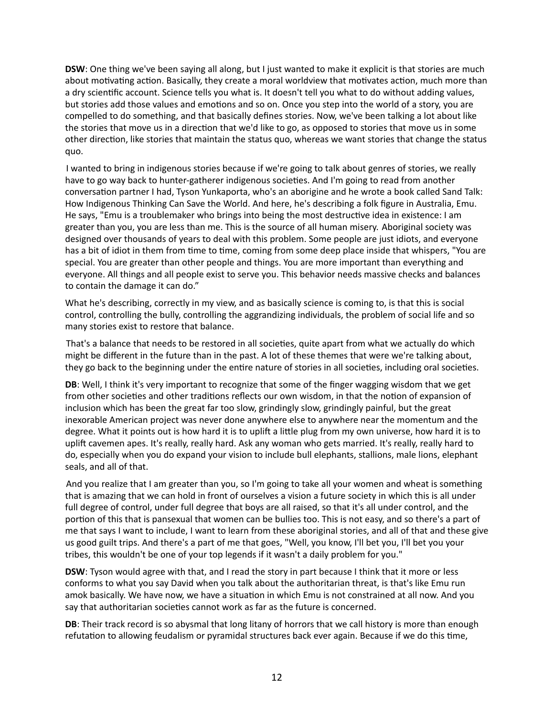**DSW**: One thing we've been saying all along, but I just wanted to make it explicit is that stories are much about motivating action. Basically, they create a moral worldview that motivates action, much more than a dry scientific account. Science tells you what is. It doesn't tell you what to do without adding values, but stories add those values and emotions and so on. Once you step into the world of a story, you are compelled to do something, and that basically defines stories. Now, we've been talking a lot about like the stories that move us in a direction that we'd like to go, as opposed to stories that move us in some other direction, like stories that maintain the status quo, whereas we want stories that change the status quo.

 I wanted to bring in indigenous stories because if we're going to talk about genres of stories, we really have to go way back to hunter-gatherer indigenous societies. And I'm going to read from another conversation partner I had, Tyson Yunkaporta, who's an aborigine and he wrote a book called Sand Talk: How Indigenous Thinking Can Save the World. And here, he's describing a folk figure in Australia, Emu. He says, "Emu is a troublemaker who brings into being the most destructive idea in existence: I am greater than you, you are less than me. This is the source of all human misery. Aboriginal society was designed over thousands of years to deal with this problem. Some people are just idiots, and everyone has a bit of idiot in them from time to time, coming from some deep place inside that whispers, "You are special. You are greater than other people and things. You are more important than everything and everyone. All things and all people exist to serve you. This behavior needs massive checks and balances to contain the damage it can do."

What he's describing, correctly in my view, and as basically science is coming to, is that this is social control, controlling the bully, controlling the aggrandizing individuals, the problem of social life and so many stories exist to restore that balance.

That's a balance that needs to be restored in all societies, quite apart from what we actually do which might be different in the future than in the past. A lot of these themes that were we're talking about, they go back to the beginning under the entire nature of stories in all societies, including oral societies.

**DB**: Well, I think it's very important to recognize that some of the finger wagging wisdom that we get from other societies and other traditions reflects our own wisdom, in that the notion of expansion of inclusion which has been the great far too slow, grindingly slow, grindingly painful, but the great inexorable American project was never done anywhere else to anywhere near the momentum and the degree. What it points out is how hard it is to uplift a little plug from my own universe, how hard it is to uplift cavemen apes. It's really, really hard. Ask any woman who gets married. It's really, really hard to do, especially when you do expand your vision to include bull elephants, stallions, male lions, elephant seals, and all of that.

 And you realize that I am greater than you, so I'm going to take all your women and wheat is something that is amazing that we can hold in front of ourselves a vision a future society in which this is all under full degree of control, under full degree that boys are all raised, so that it's all under control, and the portion of this that is pansexual that women can be bullies too. This is not easy, and so there's a part of me that says I want to include, I want to learn from these aboriginal stories, and all of that and these give us good guilt trips. And there's a part of me that goes, "Well, you know, I'll bet you, I'll bet you your tribes, this wouldn't be one of your top legends if it wasn't a daily problem for you."

**DSW**: Tyson would agree with that, and I read the story in part because I think that it more or less conforms to what you say David when you talk about the authoritarian threat, is that's like Emu run amok basically. We have now, we have a situation in which Emu is not constrained at all now. And you say that authoritarian societies cannot work as far as the future is concerned.

**DB**: Their track record is so abysmal that long litany of horrors that we call history is more than enough refutation to allowing feudalism or pyramidal structures back ever again. Because if we do this time,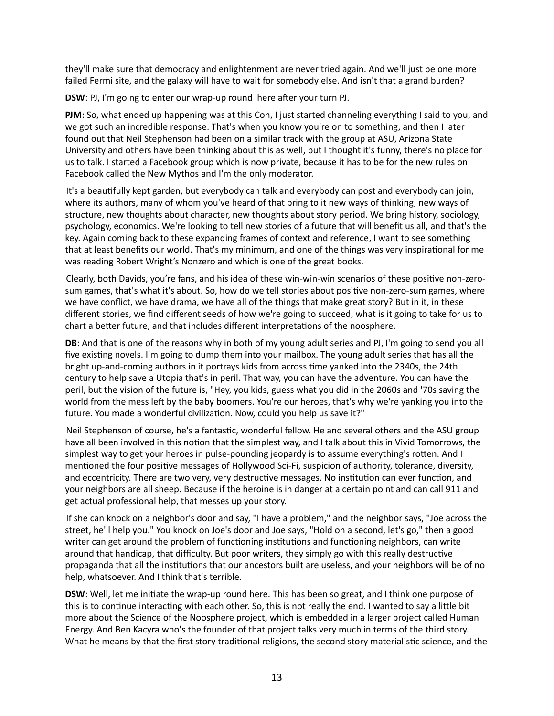they'll make sure that democracy and enlightenment are never tried again. And we'll just be one more failed Fermi site, and the galaxy will have to wait for somebody else. And isn't that a grand burden?

**DSW**: PJ, I'm going to enter our wrap-up round here after your turn PJ.

**PJM**: So, what ended up happening was at this Con, I just started channeling everything I said to you, and we got such an incredible response. That's when you know you're on to something, and then I later found out that Neil Stephenson had been on a similar track with the group at ASU, Arizona State University and others have been thinking about this as well, but I thought it's funny, there's no place for us to talk. I started a Facebook group which is now private, because it has to be for the new rules on Facebook called the New Mythos and I'm the only moderator.

It's a beautifully kept garden, but everybody can talk and everybody can post and everybody can join, where its authors, many of whom you've heard of that bring to it new ways of thinking, new ways of structure, new thoughts about character, new thoughts about story period. We bring history, sociology, psychology, economics. We're looking to tell new stories of a future that will benefit us all, and that's the key. Again coming back to these expanding frames of context and reference, I want to see something that at least benefits our world. That's my minimum, and one of the things was very inspirational for me was reading Robert Wright's Nonzero and which is one of the great books.

Clearly, both Davids, you're fans, and his idea of these win-win-win scenarios of these positive non-zerosum games, that's what it's about. So, how do we tell stories about positive non-zero-sum games, where we have conflict, we have drama, we have all of the things that make great story? But in it, in these different stories, we find different seeds of how we're going to succeed, what is it going to take for us to chart a better future, and that includes different interpretations of the noosphere.

**DB**: And that is one of the reasons why in both of my young adult series and PJ, I'm going to send you all five existing novels. I'm going to dump them into your mailbox. The young adult series that has all the bright up-and-coming authors in it portrays kids from across time yanked into the 2340s, the 24th century to help save a Utopia that's in peril. That way, you can have the adventure. You can have the peril, but the vision of the future is, "Hey, you kids, guess what you did in the 2060s and '70s saving the world from the mess left by the baby boomers. You're our heroes, that's why we're yanking you into the future. You made a wonderful civilization. Now, could you help us save it?"

Neil Stephenson of course, he's a fantastic, wonderful fellow. He and several others and the ASU group have all been involved in this notion that the simplest way, and I talk about this in Vivid Tomorrows, the simplest way to get your heroes in pulse-pounding jeopardy is to assume everything's rotten. And I mentioned the four positive messages of Hollywood Sci-Fi, suspicion of authority, tolerance, diversity, and eccentricity. There are two very, very destructive messages. No institution can ever function, and your neighbors are all sheep. Because if the heroine is in danger at a certain point and can call 911 and get actual professional help, that messes up your story.

 If she can knock on a neighbor's door and say, "I have a problem," and the neighbor says, "Joe across the street, he'll help you." You knock on Joe's door and Joe says, "Hold on a second, let's go," then a good writer can get around the problem of functioning institutions and functioning neighbors, can write around that handicap, that difficulty. But poor writers, they simply go with this really destructive propaganda that all the institutions that our ancestors built are useless, and your neighbors will be of no help, whatsoever. And I think that's terrible.

**DSW**: Well, let me initiate the wrap-up round here. This has been so great, and I think one purpose of this is to continue interacting with each other. So, this is not really the end. I wanted to say a little bit more about the Science of the Noosphere project, which is embedded in a larger project called Human Energy. And Ben Kacyra who's the founder of that project talks very much in terms of the third story. What he means by that the first story traditional religions, the second story materialistic science, and the